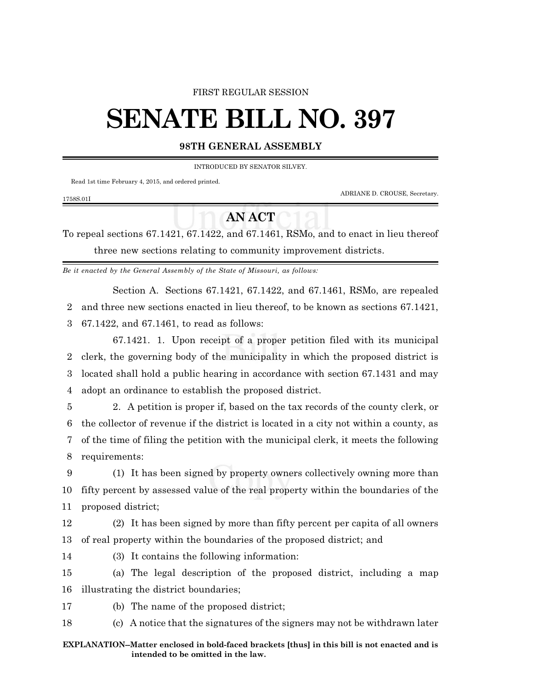### FIRST REGULAR SESSION

# **SENATE BILL NO. 397**

## **98TH GENERAL ASSEMBLY**

INTRODUCED BY SENATOR SILVEY.

Read 1st time February 4, 2015, and ordered printed.

1758S.01I

ADRIANE D. CROUSE, Secretary.

# **AN ACT**

To repeal sections 67.1421, 67.1422, and 67.1461, RSMo, and to enact in lieu thereof three new sections relating to community improvement districts.

*Be it enacted by the General Assembly of the State of Missouri, as follows:*

Section A. Sections 67.1421, 67.1422, and 67.1461, RSMo, are repealed 2 and three new sections enacted in lieu thereof, to be known as sections 67.1421, 3 67.1422, and 67.1461, to read as follows:

67.1421. 1. Upon receipt of a proper petition filed with its municipal clerk, the governing body of the municipality in which the proposed district is located shall hold a public hearing in accordance with section 67.1431 and may adopt an ordinance to establish the proposed district.

 2. A petition is proper if, based on the tax records of the county clerk, or the collector of revenue if the district is located in a city not within a county, as of the time of filing the petition with the municipal clerk, it meets the following requirements:

9 (1) It has been signed by property owners collectively owning more than 10 fifty percent by assessed value of the real property within the boundaries of the 11 proposed district;

12 (2) It has been signed by more than fifty percent per capita of all owners 13 of real property within the boundaries of the proposed district; and

14 (3) It contains the following information:

15 (a) The legal description of the proposed district, including a map 16 illustrating the district boundaries;

17 (b) The name of the proposed district;

18 (c) A notice that the signatures of the signers may not be withdrawn later

#### **EXPLANATION--Matter enclosed in bold-faced brackets [thus] in this bill is not enacted and is intended to be omitted in the law.**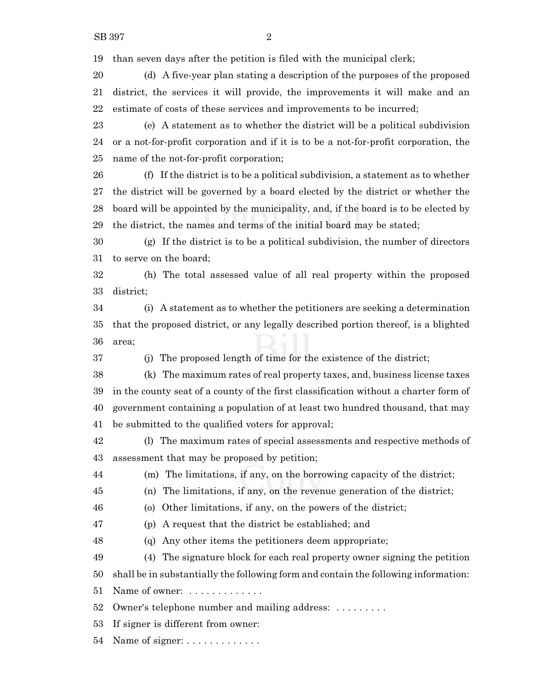than seven days after the petition is filed with the municipal clerk;

 (d) A five-year plan stating a description of the purposes of the proposed district, the services it will provide, the improvements it will make and an estimate of costs of these services and improvements to be incurred;

 (e) A statement as to whether the district will be a political subdivision or a not-for-profit corporation and if it is to be a not-for-profit corporation, the name of the not-for-profit corporation;

 (f) If the district is to be a political subdivision, a statement as to whether the district will be governed by a board elected by the district or whether the board will be appointed by the municipality, and, if the board is to be elected by the district, the names and terms of the initial board may be stated;

 (g) If the district is to be a political subdivision, the number of directors to serve on the board;

 (h) The total assessed value of all real property within the proposed district;

 (i) A statement as to whether the petitioners are seeking a determination that the proposed district, or any legally described portion thereof, is a blighted area;

(j) The proposed length of time for the existence of the district;

 (k) The maximum rates of real property taxes, and, business license taxes in the county seat of a county of the first classification without a charter form of government containing a population of at least two hundred thousand, that may be submitted to the qualified voters for approval;

 (l) The maximum rates of special assessments and respective methods of assessment that may be proposed by petition;

(m) The limitations, if any, on the borrowing capacity of the district;

(n) The limitations, if any, on the revenue generation of the district;

(o) Other limitations, if any, on the powers of the district;

(p) A request that the district be established; and

(q) Any other items the petitioners deem appropriate;

(4) The signature block for each real property owner signing the petition

shall be in substantially the following form and contain the following information:

51 Name of owner: . . . . . . . . . . . . .

Owner's telephone number and mailing address: . . . . . . . . .

If signer is different from owner:

Name of signer: . . . . . . . . . . . . .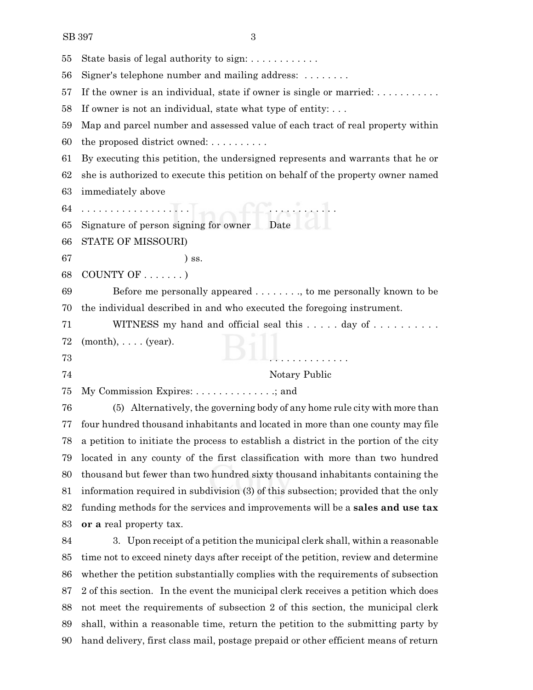| 55 | State basis of legal authority to sign: $\dots \dots \dots$                              |
|----|------------------------------------------------------------------------------------------|
| 56 | Signer's telephone number and mailing address: $\dots \dots$                             |
| 57 | If the owner is an individual, state if owner is single or married: $\dots \dots \dots$  |
| 58 | If owner is not an individual, state what type of entity: $\dots$                        |
| 59 | Map and parcel number and assessed value of each tract of real property within           |
| 60 | the proposed district owned: $\dots \dots$                                               |
| 61 | By executing this petition, the undersigned represents and warrants that he or           |
| 62 | she is authorized to execute this petition on behalf of the property owner named         |
| 63 | immediately above                                                                        |
| 64 |                                                                                          |
| 65 | Signature of person signing for owner Date                                               |
| 66 | STATE OF MISSOURI)                                                                       |
| 67 | $)$ ss.                                                                                  |
| 68 | COUNTY OF $\dots\dots$                                                                   |
| 69 | Before me personally appeared $\dots \dots$ , to me personally known to be               |
| 70 | the individual described in and who executed the foregoing instrument.                   |
| 71 | WITNESS my hand and official seal this day of                                            |
| 72 | $(month), \ldots$ . (year).                                                              |
| 73 |                                                                                          |
| 74 | Notary Public                                                                            |
| 75 | My Commission Expires: $\dots \dots \dots \dots$ ; and                                   |
| 76 | (5) Alternatively, the governing body of any home rule city with more than               |
| 77 | four hundred thousand inhabitants and located in more than one county may file           |
|    | 78 a petition to initiate the process to establish a district in the portion of the city |
| 79 | located in any county of the first classification with more than two hundred             |
| 80 | thousand but fewer than two hundred sixty thousand inhabitants containing the            |
| 81 | information required in subdivision (3) of this subsection; provided that the only       |
| 82 | funding methods for the services and improvements will be a sales and use tax            |
| 83 | or a real property tax.                                                                  |
| 84 | 3. Upon receipt of a petition the municipal clerk shall, within a reasonable             |
| 85 | time not to exceed ninety days after receipt of the petition, review and determine       |
| 86 | whether the petition substantially complies with the requirements of subsection          |
| 87 | 2 of this section. In the event the municipal clerk receives a petition which does       |

 not meet the requirements of subsection 2 of this section, the municipal clerk shall, within a reasonable time, return the petition to the submitting party by hand delivery, first class mail, postage prepaid or other efficient means of return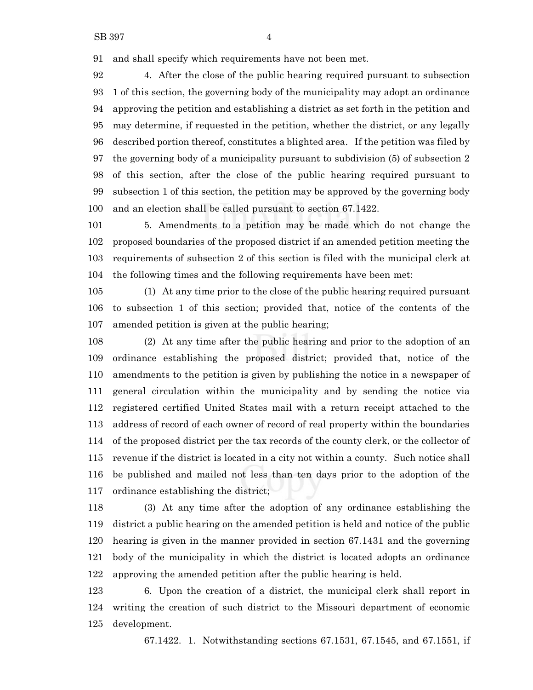and shall specify which requirements have not been met.

 4. After the close of the public hearing required pursuant to subsection 1 of this section, the governing body of the municipality may adopt an ordinance approving the petition and establishing a district as set forth in the petition and may determine, if requested in the petition, whether the district, or any legally described portion thereof, constitutes a blighted area. If the petition was filed by the governing body of a municipality pursuant to subdivision (5) of subsection 2 of this section, after the close of the public hearing required pursuant to subsection 1 of this section, the petition may be approved by the governing body and an election shall be called pursuant to section 67.1422.

 5. Amendments to a petition may be made which do not change the proposed boundaries of the proposed district if an amended petition meeting the requirements of subsection 2 of this section is filed with the municipal clerk at the following times and the following requirements have been met:

 (1) At any time prior to the close of the public hearing required pursuant to subsection 1 of this section; provided that, notice of the contents of the amended petition is given at the public hearing;

 (2) At any time after the public hearing and prior to the adoption of an ordinance establishing the proposed district; provided that, notice of the amendments to the petition is given by publishing the notice in a newspaper of general circulation within the municipality and by sending the notice via registered certified United States mail with a return receipt attached to the address of record of each owner of record of real property within the boundaries of the proposed district per the tax records of the county clerk, or the collector of revenue if the district is located in a city not within a county. Such notice shall be published and mailed not less than ten days prior to the adoption of the ordinance establishing the district;

 (3) At any time after the adoption of any ordinance establishing the district a public hearing on the amended petition is held and notice of the public hearing is given in the manner provided in section 67.1431 and the governing body of the municipality in which the district is located adopts an ordinance approving the amended petition after the public hearing is held.

 6. Upon the creation of a district, the municipal clerk shall report in writing the creation of such district to the Missouri department of economic development.

67.1422. 1. Notwithstanding sections 67.1531, 67.1545, and 67.1551, if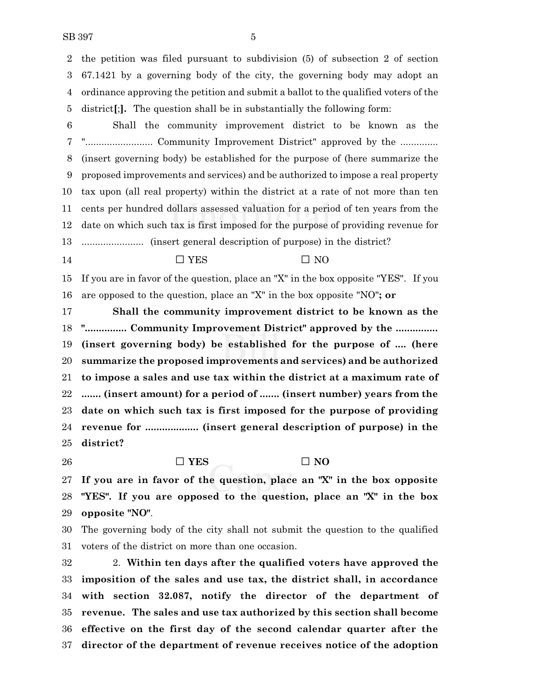the petition was filed pursuant to subdivision (5) of subsection 2 of section 67.1421 by a governing body of the city, the governing body may adopt an ordinance approving the petition and submit a ballot to the qualified voters of the district**[**;**].** The question shall be in substantially the following form:

 Shall the community improvement district to be known as the "......................... Community Improvement District" approved by the .............. (insert governing body) be established for the purpose of (here summarize the proposed improvements and services) and be authorized to impose a real property tax upon (all real property) within the district at a rate of not more than ten cents per hundred dollars assessed valuation for a period of ten years from the date on which such tax is first imposed for the purpose of providing revenue for ....................... (insert general description of purpose) in the district?

14  $\Box$  YES  $\Box$  NO

 If you are in favor of the question, place an "X" in the box opposite "YES". If you are opposed to the question, place an "X" in the box opposite "NO"**; or**

 **Shall the community improvement district to be known as the "............... Community Improvement District" approved by the ............... (insert governing body) be established for the purpose of .... (here summarize the proposed improvements and services) and be authorized to impose a sales and use tax within the district at a maximum rate of ....... (insert amount) for a period of ....... (insert number) years from the date on which such tax is first imposed for the purpose of providing revenue for ................... (insert general description of purpose) in the district?**

26  $\square$  **YES**  $\square$  **NO** 

 **If you are in favor of the question, place an "X" in the box opposite "YES". If you are opposed to the question, place an "X" in the box opposite "NO"**.

 The governing body of the city shall not submit the question to the qualified voters of the district on more than one occasion.

 2. **Within ten days after the qualified voters have approved the imposition of the sales and use tax, the district shall, in accordance with section 32.087, notify the director of the department of revenue. The sales and use tax authorized by this section shall become effective on the first day of the second calendar quarter after the director of the department of revenue receives notice of the adoption**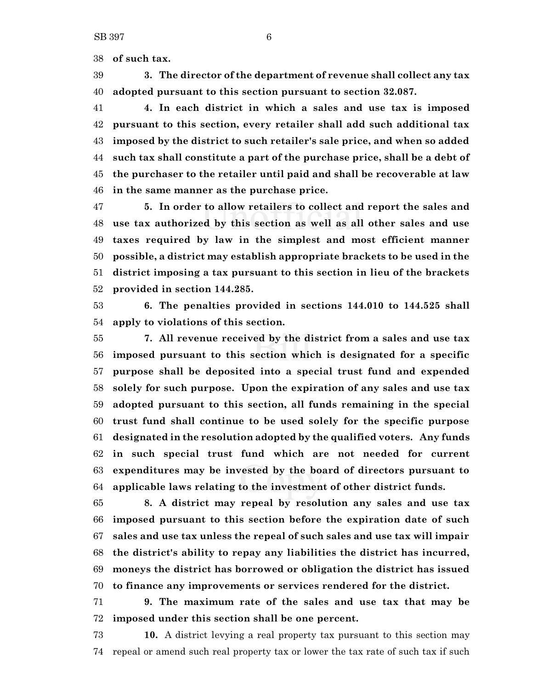**of such tax.**

 **3. The director of the department of revenue shall collect any tax adopted pursuant to this section pursuant to section 32.087.**

 **4. In each district in which a sales and use tax is imposed pursuant to this section, every retailer shall add such additional tax imposed by the district to such retailer's sale price, and when so added such tax shall constitute a part of the purchase price, shall be a debt of the purchaser to the retailer until paid and shall be recoverable at law in the same manner as the purchase price.**

 **5. In order to allow retailers to collect and report the sales and use tax authorized by this section as well as all other sales and use taxes required by law in the simplest and most efficient manner possible, a district may establish appropriate brackets to be used in the district imposing a tax pursuant to this section in lieu of the brackets provided in section 144.285.**

 **6. The penalties provided in sections 144.010 to 144.525 shall apply to violations of this section.**

 **7. All revenue received by the district from a sales and use tax imposed pursuant to this section which is designated for a specific purpose shall be deposited into a special trust fund and expended solely for such purpose. Upon the expiration of any sales and use tax adopted pursuant to this section, all funds remaining in the special trust fund shall continue to be used solely for the specific purpose designated in the resolution adopted by the qualified voters. Any funds in such special trust fund which are not needed for current expenditures may be invested by the board of directors pursuant to applicable laws relating to the investment of other district funds.**

 **8. A district may repeal by resolution any sales and use tax imposed pursuant to this section before the expiration date of such sales and use tax unless the repeal of such sales and use tax will impair the district's ability to repay any liabilities the district has incurred, moneys the district has borrowed or obligation the district has issued to finance any improvements or services rendered for the district.**

 **9. The maximum rate of the sales and use tax that may be imposed under this section shall be one percent.**

 **10.** A district levying a real property tax pursuant to this section may repeal or amend such real property tax or lower the tax rate of such tax if such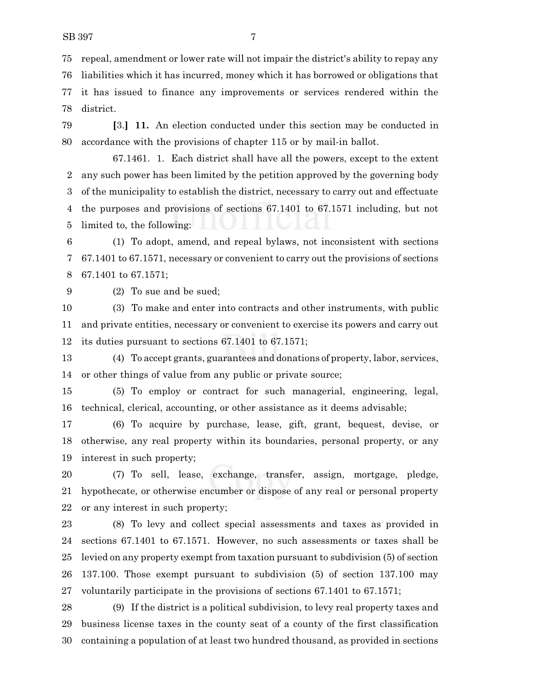repeal, amendment or lower rate will not impair the district's ability to repay any liabilities which it has incurred, money which it has borrowed or obligations that

 it has issued to finance any improvements or services rendered within the district.

 **[**3.**] 11.** An election conducted under this section may be conducted in accordance with the provisions of chapter 115 or by mail-in ballot.

67.1461. 1. Each district shall have all the powers, except to the extent any such power has been limited by the petition approved by the governing body of the municipality to establish the district, necessary to carry out and effectuate the purposes and provisions of sections 67.1401 to 67.1571 including, but not limited to, the following:

 (1) To adopt, amend, and repeal bylaws, not inconsistent with sections 67.1401 to 67.1571, necessary or convenient to carry out the provisions of sections 67.1401 to 67.1571;

(2) To sue and be sued;

 (3) To make and enter into contracts and other instruments, with public and private entities, necessary or convenient to exercise its powers and carry out its duties pursuant to sections 67.1401 to 67.1571;

 (4) To accept grants, guarantees and donations of property, labor, services, or other things of value from any public or private source;

 (5) To employ or contract for such managerial, engineering, legal, technical, clerical, accounting, or other assistance as it deems advisable;

 (6) To acquire by purchase, lease, gift, grant, bequest, devise, or otherwise, any real property within its boundaries, personal property, or any interest in such property;

 (7) To sell, lease, exchange, transfer, assign, mortgage, pledge, hypothecate, or otherwise encumber or dispose of any real or personal property or any interest in such property;

 (8) To levy and collect special assessments and taxes as provided in sections 67.1401 to 67.1571. However, no such assessments or taxes shall be levied on any property exempt from taxation pursuant to subdivision (5) of section 137.100. Those exempt pursuant to subdivision (5) of section 137.100 may voluntarily participate in the provisions of sections 67.1401 to 67.1571;

 (9) If the district is a political subdivision, to levy real property taxes and business license taxes in the county seat of a county of the first classification containing a population of at least two hundred thousand, as provided in sections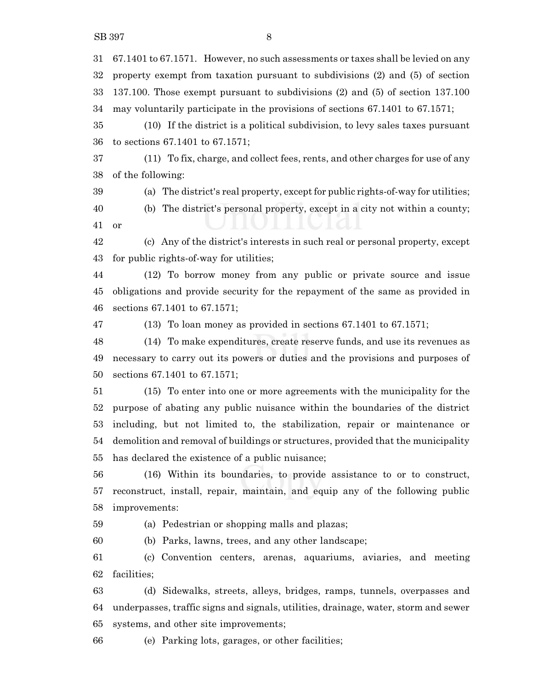67.1401 to 67.1571. However, no such assessments or taxes shall be levied on any property exempt from taxation pursuant to subdivisions (2) and (5) of section 137.100. Those exempt pursuant to subdivisions (2) and (5) of section 137.100 may voluntarily participate in the provisions of sections 67.1401 to 67.1571;

 (10) If the district is a political subdivision, to levy sales taxes pursuant to sections 67.1401 to 67.1571;

 (11) To fix, charge, and collect fees, rents, and other charges for use of any of the following:

(a) The district's real property, except for public rights-of-way for utilities;

 (b) The district's personal property, except in a city not within a county; or

 (c) Any of the district's interests in such real or personal property, except for public rights-of-way for utilities;

 (12) To borrow money from any public or private source and issue obligations and provide security for the repayment of the same as provided in sections 67.1401 to 67.1571;

(13) To loan money as provided in sections 67.1401 to 67.1571;

 (14) To make expenditures, create reserve funds, and use its revenues as necessary to carry out its powers or duties and the provisions and purposes of sections 67.1401 to 67.1571;

 (15) To enter into one or more agreements with the municipality for the purpose of abating any public nuisance within the boundaries of the district including, but not limited to, the stabilization, repair or maintenance or demolition and removal of buildings or structures, provided that the municipality has declared the existence of a public nuisance;

 (16) Within its boundaries, to provide assistance to or to construct, reconstruct, install, repair, maintain, and equip any of the following public improvements:

(a) Pedestrian or shopping malls and plazas;

(b) Parks, lawns, trees, and any other landscape;

 (c) Convention centers, arenas, aquariums, aviaries, and meeting facilities;

 (d) Sidewalks, streets, alleys, bridges, ramps, tunnels, overpasses and underpasses, traffic signs and signals, utilities, drainage, water, storm and sewer systems, and other site improvements;

(e) Parking lots, garages, or other facilities;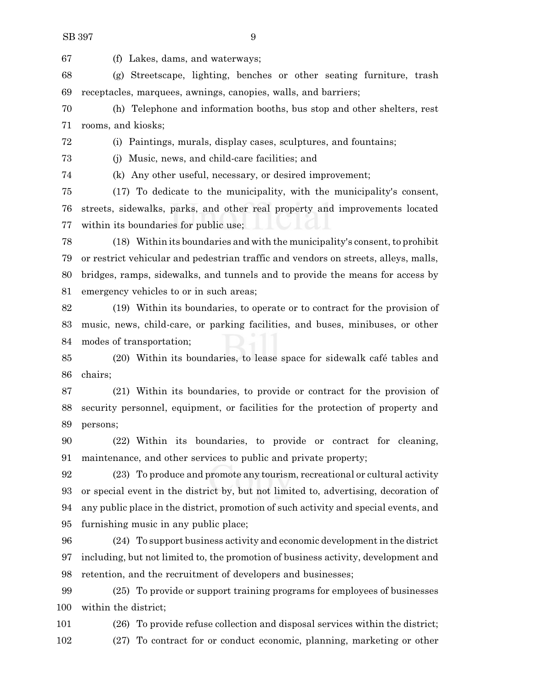(f) Lakes, dams, and waterways;

 (g) Streetscape, lighting, benches or other seating furniture, trash receptacles, marquees, awnings, canopies, walls, and barriers;

 (h) Telephone and information booths, bus stop and other shelters, rest rooms, and kiosks;

(i) Paintings, murals, display cases, sculptures, and fountains;

(j) Music, news, and child-care facilities; and

(k) Any other useful, necessary, or desired improvement;

 (17) To dedicate to the municipality, with the municipality's consent, streets, sidewalks, parks, and other real property and improvements located within its boundaries for public use;

 (18) Within its boundaries and with the municipality's consent, to prohibit or restrict vehicular and pedestrian traffic and vendors on streets, alleys, malls, bridges, ramps, sidewalks, and tunnels and to provide the means for access by emergency vehicles to or in such areas;

 (19) Within its boundaries, to operate or to contract for the provision of music, news, child-care, or parking facilities, and buses, minibuses, or other modes of transportation;

 (20) Within its boundaries, to lease space for sidewalk café tables and chairs;

 (21) Within its boundaries, to provide or contract for the provision of security personnel, equipment, or facilities for the protection of property and persons;

 (22) Within its boundaries, to provide or contract for cleaning, maintenance, and other services to public and private property;

 (23) To produce and promote any tourism, recreational or cultural activity or special event in the district by, but not limited to, advertising, decoration of any public place in the district, promotion of such activity and special events, and furnishing music in any public place;

 (24) To support business activity and economic development in the district including, but not limited to, the promotion of business activity, development and retention, and the recruitment of developers and businesses;

 (25) To provide or support training programs for employees of businesses within the district;

 (26) To provide refuse collection and disposal services within the district; (27) To contract for or conduct economic, planning, marketing or other